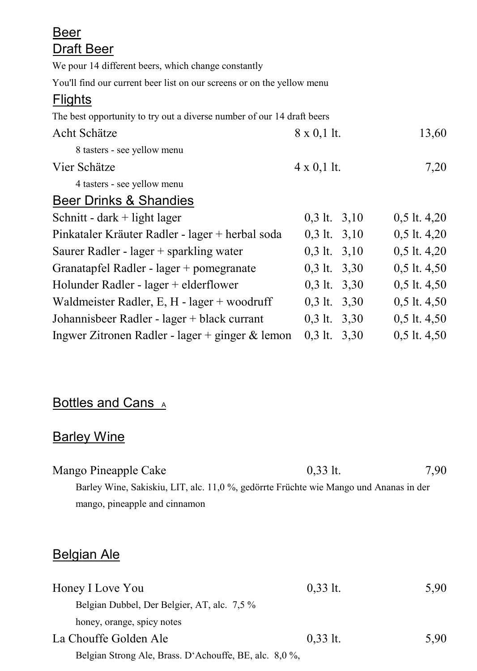| Beer                                                                   |                    |                  |
|------------------------------------------------------------------------|--------------------|------------------|
| Draft Beer                                                             |                    |                  |
| We pour 14 different beers, which change constantly                    |                    |                  |
| You'll find our current beer list on our screens or on the yellow menu |                    |                  |
| <b>Flights</b>                                                         |                    |                  |
| The best opportunity to try out a diverse number of our 14 draft beers |                    |                  |
| Acht Schätze                                                           | $8 \times 0,1$ lt. | 13,60            |
| 8 tasters - see yellow menu                                            |                    |                  |
| Vier Schätze                                                           | $4 \times 0,1$ lt. | 7,20             |
| 4 tasters - see yellow menu                                            |                    |                  |
| Beer Drinks & Shandies                                                 |                    |                  |
| Schnitt - dark + light lager                                           | $0,3$ lt. $3,10$   | $0,5$ lt. 4,20   |
| Pinkataler Kräuter Radler - lager + herbal soda                        | $0,3$ lt. $3,10$   | $0,5$ lt. 4,20   |
| Saurer Radler - lager + sparkling water                                | $0,3$ lt. $3,10$   | $0,5$ lt. $4,20$ |
| Granatapfel Radler - lager + pomegranate                               | $0,3$ lt. $3,30$   | $0,5$ lt. $4,50$ |
| Holunder Radler - lager + elderflower                                  | $0,3$ lt. $3,30$   | $0,5$ lt. $4,50$ |
| Waldmeister Radler, E, H - lager + woodruff                            | $0,3$ lt. $3,30$   | $0,5$ lt. 4,50   |
| Johannisbeer Radler - lager + black currant                            | $0,3$ lt. $3,30$   | $0,5$ lt. $4,50$ |
| Ingwer Zitronen Radler - lager + ginger $\&$ lemon                     | $0,3$ lt. $3,30$   | $0,5$ lt. $4,50$ |

# Bottles and Cans A

# **Barley Wine**

| Mango Pineapple Cake                                                                 | $0.33$ lt. | 7,90 |
|--------------------------------------------------------------------------------------|------------|------|
| Barley Wine, Sakiskiu, LIT, alc. 11,0%, gedörrte Früchte wie Mango und Ananas in der |            |      |
| mango, pineapple and cinnamon                                                        |            |      |

#### Belgian Ale

| Honey I Love You                                       | $0,33$ lt. | 5.90 |
|--------------------------------------------------------|------------|------|
| Belgian Dubbel, Der Belgier, AT, alc. 7.5 %            |            |      |
| honey, orange, spicy notes                             |            |      |
| La Chouffe Golden Ale                                  | $0.33$ lt. | 5.90 |
| Belgian Strong Ale, Brass. D'Achouffe, BE, alc. 8,0 %, |            |      |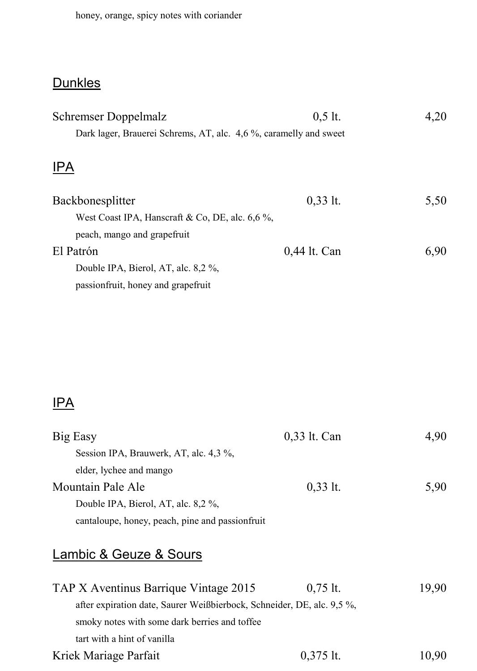#### **Dunkles**

| Schremser Doppelmalz                                             | $0.5$ lt.    | 4,20 |
|------------------------------------------------------------------|--------------|------|
| Dark lager, Brauerei Schrems, AT, alc. 4,6%, caramelly and sweet |              |      |
|                                                                  |              |      |
| <b>IPA</b>                                                       |              |      |
| Backbonesplitter                                                 | $0,33$ lt.   | 5,50 |
|                                                                  |              |      |
| West Coast IPA, Hanscraft & Co, DE, alc. $6.6\%$ ,               |              |      |
| peach, mango and grapefruit                                      |              |      |
| El Patrón                                                        | 0,44 lt. Can | 6.90 |
| Double IPA, Bierol, AT, alc. 8,2 %,                              |              |      |
| passion fruit, honey and grape fruit                             |              |      |

#### IPA

| Big Easy                                                               | 0,33 lt. Can | 4.90  |
|------------------------------------------------------------------------|--------------|-------|
| Session IPA, Brauwerk, AT, alc. 4,3 %,                                 |              |       |
| elder, lychee and mango                                                |              |       |
| Mountain Pale Ale                                                      | $0.33$ lt.   | 5,90  |
| Double IPA, Bierol, AT, alc. 8,2 %,                                    |              |       |
| cantaloupe, honey, peach, pine and passion fruit                       |              |       |
| Lambic & Geuze & Sours                                                 |              |       |
| TAP X Aventinus Barrique Vintage 2015                                  | $0.75$ lt.   | 19.90 |
| after expiration date, Saurer Weißbierbock, Schneider, DE, alc. 9,5 %, |              |       |
| smoky notes with some dark berries and toffee                          |              |       |

tart with a hint of vanilla

Kriek Mariage Parfait  $0,375$  lt.  $10,90$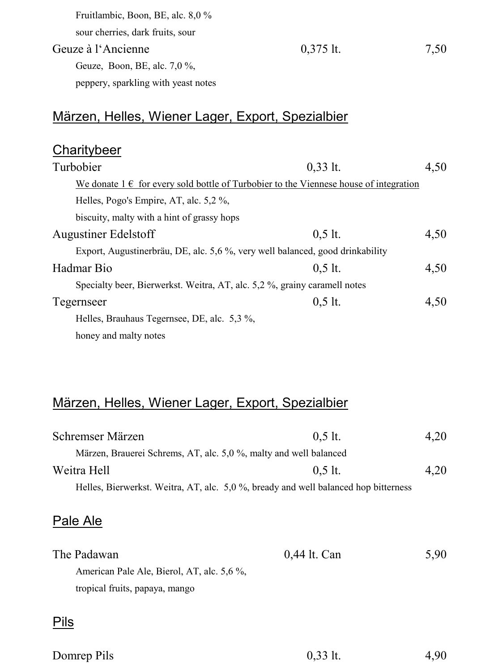| Fruitlambic, Boon, BE, alc. 8,0 %   |             |      |
|-------------------------------------|-------------|------|
| sour cherries, dark fruits, sour    |             |      |
| Geuze à l'Ancienne                  | $0.375$ lt. | 7.50 |
| Geuze, Boon, BE, alc. $7.0\%$ ,     |             |      |
| peppery, sparkling with yeast notes |             |      |

#### Märzen, Helles, Wiener Lager, Export, Spezialbier

| Charitybeer                                                                               |            |      |
|-------------------------------------------------------------------------------------------|------------|------|
| Turbobier                                                                                 | $0.33$ lt. | 4,50 |
| We donate $1 \in$ for every sold bottle of Turbobier to the Viennese house of integration |            |      |
| Helles, Pogo's Empire, AT, alc. 5,2 %,                                                    |            |      |
| biscuity, malty with a hint of grassy hops                                                |            |      |
| Augustiner Edelstoff                                                                      | $0.5$ lt.  | 4.50 |
| Export, Augustinerbräu, DE, alc. 5,6 %, very well balanced, good drinkability             |            |      |
| Hadmar Bio                                                                                | $0.5$ lt.  | 4,50 |
| Specialty beer, Bierwerkst. Weitra, AT, alc. 5,2 %, grainy caramell notes                 |            |      |
| Tegernseer                                                                                | $0.5$ lt.  | 4,50 |
| Helles, Brauhaus Tegernsee, DE, alc. 5.3 %,                                               |            |      |
| honey and malty notes                                                                     |            |      |

#### Märzen, Helles, Wiener Lager, Export, Spezialbier

| Schremser Märzen                                                                   | $0.5$ lt. | 4.20 |
|------------------------------------------------------------------------------------|-----------|------|
| Märzen, Brauerei Schrems, AT, alc. 5,0 %, malty and well balanced                  |           |      |
| Weitra Hell                                                                        | $0.5$ lt. | 4.20 |
| Helles, Bierwerkst. Weitra, AT, alc. 5,0%, bready and well balanced hop bitterness |           |      |

#### Pale Ale

| The Padawan                                | 0,44 lt. Can | 5.90 |
|--------------------------------------------|--------------|------|
| American Pale Ale, Bierol, AT, alc. 5.6 %. |              |      |
| tropical fruits, papaya, mango             |              |      |

#### Pils

| Domrep Pils | $0,33$ lt. | 4,90 |
|-------------|------------|------|
|             |            |      |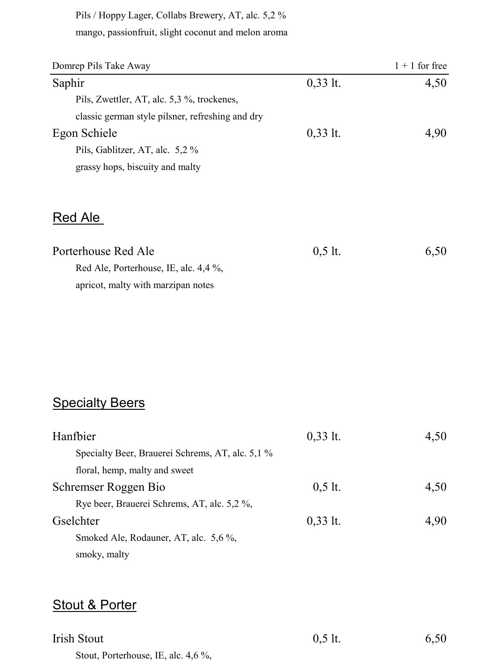Pils / Hoppy Lager, Collabs Brewery, AT, alc. 5,2 % mango, passionfruit, slight coconut and melon aroma

| Domrep Pils Take Away                            |            | $1 + 1$ for free |
|--------------------------------------------------|------------|------------------|
| Saphir                                           | $0,33$ lt. | 4.50             |
| Pils, Zwettler, AT, alc. 5,3 %, trockenes,       |            |                  |
| classic german style pilsner, refreshing and dry |            |                  |
| Egon Schiele                                     | $0,33$ lt. | 4.90             |
| Pils, Gablitzer, AT, alc. 5,2 %                  |            |                  |
| grassy hops, biscuity and malty                  |            |                  |
|                                                  |            |                  |

#### Red Ale

| Porterhouse Red Ale                   | $0.5$ lt. | 6.50 |
|---------------------------------------|-----------|------|
| Red Ale. Porterhouse. IE. alc. 4.4 %. |           |      |
| apricot, malty with marzipan notes    |           |      |

#### **Specialty Beers**

| Hanfbier                                         | $0,33$ lt. | 4.50 |
|--------------------------------------------------|------------|------|
| Specialty Beer, Brauerei Schrems, AT, alc. 5,1 % |            |      |
| floral, hemp, malty and sweet                    |            |      |
| Schremser Roggen Bio                             | $0.5$ lt.  | 4.50 |
| Rye beer, Brauerei Schrems, AT, alc. 5,2 %,      |            |      |
| Gselchter                                        | $0,33$ lt. | 4.90 |
| Smoked Ale, Rodauner, AT, alc. 5,6 %,            |            |      |
| smoky, malty                                     |            |      |

#### Stout & Porter

| <b>Irish Stout</b>                  | $0,5$ lt. | 6,50 |
|-------------------------------------|-----------|------|
| Stout, Porterhouse, IE, alc. 4,6 %, |           |      |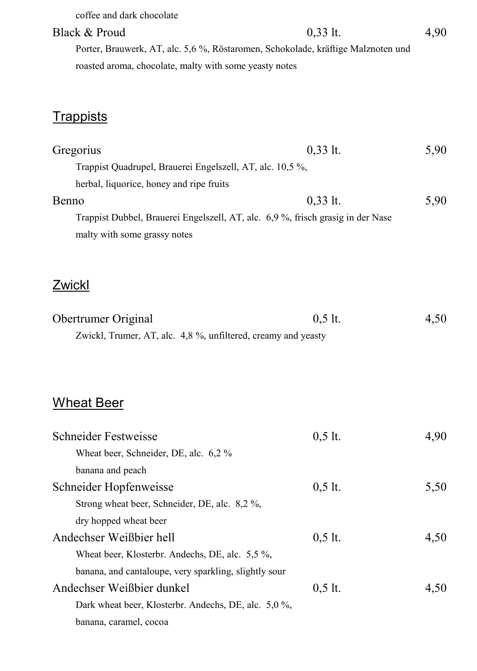| coffee and dark chocolate                                                        |            |      |
|----------------------------------------------------------------------------------|------------|------|
| Black & Proud                                                                    | $0,33$ lt. | 4,90 |
| Porter, Brauwerk, AT, alc. 5,6 %, Röstaromen, Schokolade, kräftige Malznoten und |            |      |
| roasted aroma, chocolate, malty with some yeasty notes                           |            |      |
|                                                                                  |            |      |
|                                                                                  |            |      |
| <u>Trappists</u>                                                                 |            |      |
| Gregorius                                                                        | $0,33$ lt. | 5,90 |
| Trappist Quadrupel, Brauerei Engelszell, AT, alc. 10,5 %,                        |            |      |
| herbal, liquorice, honey and ripe fruits                                         |            |      |
| Benno                                                                            | $0,33$ lt. | 5,90 |
| Trappist Dubbel, Brauerei Engelszell, AT, alc. 6,9 %, frisch grasig in der Nase  |            |      |
| malty with some grassy notes                                                     |            |      |
|                                                                                  |            |      |
|                                                                                  |            |      |
| Zwickl                                                                           |            |      |
| Obertrumer Original                                                              | $0,5$ lt.  | 4,50 |
| Zwickl, Trumer, AT, alc. 4,8 %, unfiltered, creamy and yeasty                    |            |      |
|                                                                                  |            |      |
|                                                                                  |            |      |
|                                                                                  |            |      |
| <u>Wheat Beer</u>                                                                |            |      |
| Schneider Festweisse                                                             | $0,5$ lt.  | 4,90 |
| Wheat beer, Schneider, DE, alc. 6,2 %                                            |            |      |
| banana and peach                                                                 |            |      |
| Schneider Hopfenweisse                                                           | $0,5$ lt.  | 5,50 |
| Strong wheat beer, Schneider, DE, alc. 8,2 %,                                    |            |      |
| dry hopped wheat beer                                                            |            |      |
| Andechser Weißbier hell                                                          | $0,5$ lt.  | 4,50 |
| Wheat beer, Klosterbr. Andechs, DE, alc. 5,5%,                                   |            |      |
| banana, and cantaloupe, very sparkling, slightly sour                            |            |      |
| Andechser Weißbier dunkel                                                        | $0,5$ lt.  | 4,50 |
| Dark wheat beer, Klosterbr. Andechs, DE, alc. 5,0%,                              |            |      |
| banana, caramel, cocoa                                                           |            |      |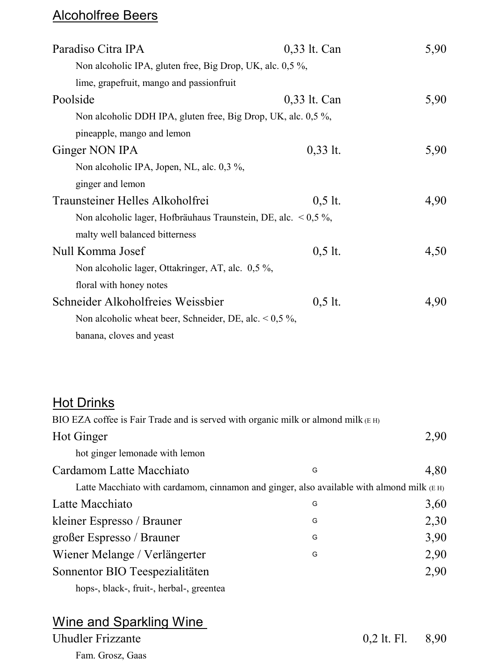# Alcoholfree Beers

| Paradiso Citra IPA                                                   | 0,33 lt. Can | 5,90 |
|----------------------------------------------------------------------|--------------|------|
| Non alcoholic IPA, gluten free, Big Drop, UK, alc. 0,5 %,            |              |      |
| lime, grapefruit, mango and passionfruit                             |              |      |
| Poolside                                                             | 0,33 lt. Can | 5,90 |
| Non alcoholic DDH IPA, gluten free, Big Drop, UK, alc. 0,5 %,        |              |      |
| pineapple, mango and lemon                                           |              |      |
| Ginger NON IPA                                                       | $0,33$ lt.   | 5,90 |
| Non alcoholic IPA, Jopen, NL, alc. 0,3 %,                            |              |      |
| ginger and lemon                                                     |              |      |
| Traunsteiner Helles Alkoholfrei                                      | $0,5$ lt.    | 4,90 |
| Non alcoholic lager, Hofbräuhaus Traunstein, DE, alc. $\leq 0.5\%$ , |              |      |
| malty well balanced bitterness                                       |              |      |
| Null Komma Josef                                                     | $0,5$ lt.    | 4,50 |
| Non alcoholic lager, Ottakringer, AT, alc. 0,5 %,                    |              |      |
| floral with honey notes                                              |              |      |
| Schneider Alkoholfreies Weissbier                                    | $0,5$ lt.    | 4,90 |
| Non alcoholic wheat beer, Schneider, DE, alc. $< 0.5\%$ ,            |              |      |
| banana, cloves and yeast                                             |              |      |

# Hot Drinks

| BIO EZA coffee is Fair Trade and is served with organic milk or almond milk (E H)           |   |      |
|---------------------------------------------------------------------------------------------|---|------|
| Hot Ginger                                                                                  |   | 2,90 |
| hot ginger lemonade with lemon                                                              |   |      |
| Cardamom Latte Macchiato                                                                    | G | 4,80 |
| Latte Macchiato with cardamom, cinnamon and ginger, also available with almond milk $(E H)$ |   |      |
| Latte Macchiato                                                                             | G | 3,60 |
| kleiner Espresso / Brauner                                                                  | G | 2,30 |
| großer Espresso / Brauner                                                                   | G | 3,90 |
| Wiener Melange / Verlängerter                                                               | G | 2,90 |
| Sonnentor BIO Teespezialitäten                                                              |   | 2,90 |
| hops-, black-, fruit-, herbal-, greentea                                                    |   |      |
|                                                                                             |   |      |

| Wine and Sparkling Wine |
|-------------------------|
| Uhudler Frizzante       |
| Fam. Grosz, Gaas        |

 $0,2$  lt. Fl.  $8,90$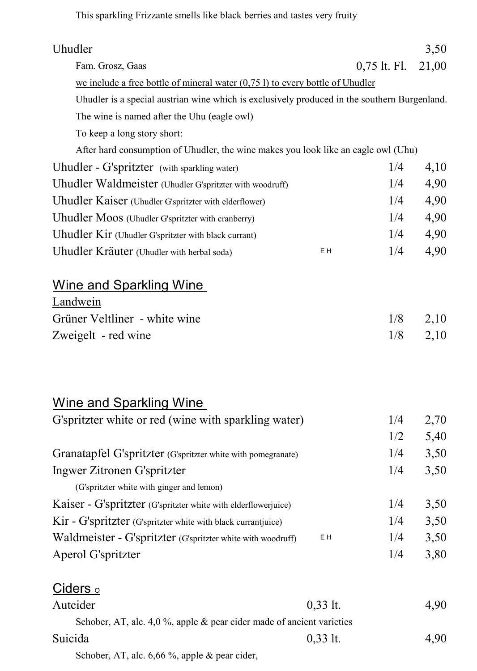This sparkling Frizzante smells like black berries and tastes very fruity

| Uhudler                                                                                      |            |                | 3,50  |
|----------------------------------------------------------------------------------------------|------------|----------------|-------|
| Fam. Grosz, Gaas                                                                             |            | $0,75$ lt. Fl. | 21,00 |
| we include a free bottle of mineral water $(0,751)$ to every bottle of Uhudler               |            |                |       |
| Uhudler is a special austrian wine which is exclusively produced in the southern Burgenland. |            |                |       |
| The wine is named after the Uhu (eagle owl)                                                  |            |                |       |
| To keep a long story short:                                                                  |            |                |       |
| After hard consumption of Uhudler, the wine makes you look like an eagle owl (Uhu)           |            |                |       |
| Uhudler - G'spritzter (with sparkling water)                                                 |            | 1/4            | 4,10  |
| Uhudler Waldmeister (Uhudler G'spritzter with woodruff)                                      |            | 1/4            | 4,90  |
| Uhudler Kaiser (Uhudler G'spritzter with elderflower)                                        |            | 1/4            | 4,90  |
| Uhudler Moos (Uhudler G'spritzter with cranberry)                                            |            | 1/4            | 4,90  |
| Uhudler Kir (Uhudler G'spritzter with black currant)                                         |            | 1/4            | 4,90  |
| Uhudler Kräuter (Uhudler with herbal soda)                                                   | ΕH         | 1/4            | 4,90  |
| Wine and Sparkling Wine                                                                      |            |                |       |
| Landwein                                                                                     |            |                |       |
| Grüner Veltliner - white wine                                                                |            | 1/8            | 2,10  |
| Zweigelt - red wine                                                                          |            | 1/8            | 2,10  |
| <b>Wine and Sparkling Wine</b>                                                               |            |                |       |
| G'spritzter white or red (wine with sparkling water)                                         |            | 1/4            | 2,70  |
|                                                                                              |            | 1/2            | 5,40  |
| Granatapfel G'spritzter (G'spritzter white with pomegranate)                                 |            | 1/4            | 3,50  |
| Ingwer Zitronen G'spritzter                                                                  |            | 1/4            | 3,50  |
| (G'spritzter white with ginger and lemon)                                                    |            |                |       |
| Kaiser - G'spritzter (G'spritzter white with elderflowerjuice)                               |            | 1/4            | 3,50  |
| Kir - G'spritzter (G'spritzter white with black currantjuice)                                |            | 1/4            | 3,50  |
| Waldmeister - G'spritzter (G'spritzter white with woodruff)                                  | ΕH         | 1/4            | 3,50  |
| Aperol G'spritzter                                                                           |            | 1/4            | 3,80  |
| <u>Ciders 。</u>                                                                              |            |                |       |
| Autcider                                                                                     | $0,33$ lt. |                | 4,90  |
| Schober, AT, alc. 4,0 %, apple & pear cider made of ancient varieties                        |            |                |       |
| Suicida                                                                                      | $0,33$ lt. |                | 4,90  |

Schober, AT, alc. 6,66 %, apple & pear cider,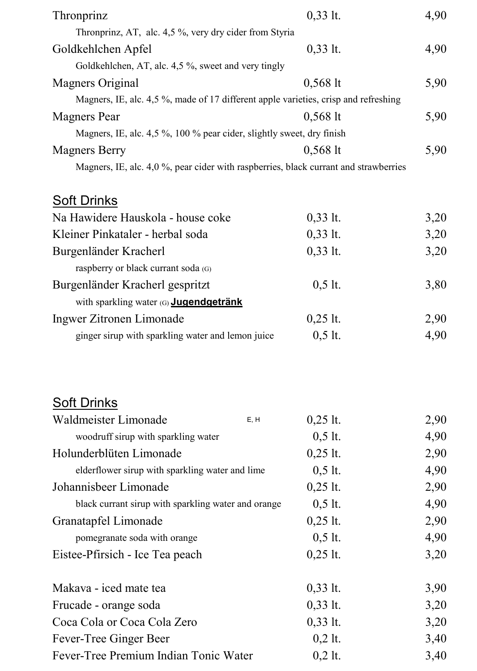| Thronprinz                                                                           | $0,33$ lt. | 4,90 |
|--------------------------------------------------------------------------------------|------------|------|
| Thronprinz, AT, alc. 4,5 %, very dry cider from Styria                               |            |      |
| Goldkehlchen Apfel                                                                   | $0,33$ lt. | 4,90 |
| Goldkehlchen, AT, alc. 4,5 %, sweet and very tingly                                  |            |      |
| Magners Original                                                                     | $0,568$ lt | 5,90 |
| Magners, IE, alc. 4,5 %, made of 17 different apple varieties, crisp and refreshing  |            |      |
| <b>Magners</b> Pear                                                                  | $0,568$ lt | 5,90 |
| Magners, IE, alc. 4,5 %, 100 % pear cider, slightly sweet, dry finish                |            |      |
| <b>Magners Berry</b>                                                                 | $0,568$ lt | 5,90 |
| Magners, IE, alc. 4,0 %, pear cider with raspberries, black currant and strawberries |            |      |
| <b>Soft Drinks</b>                                                                   |            |      |
| Na Hawidere Hauskola - house coke                                                    | $0,33$ lt. | 3,20 |
| Kleiner Pinkataler - herbal soda                                                     | $0,33$ lt. | 3,20 |
| Burgenländer Kracherl                                                                | $0,33$ lt. | 3,20 |
| raspberry or black currant soda (G)                                                  |            |      |
| Burgenländer Kracherl gespritzt                                                      | $0,5$ lt.  | 3,80 |
| with sparkling water (G) Jugendgetränk                                               |            |      |
| Ingwer Zitronen Limonade                                                             | $0,25$ lt. | 2,90 |
| ginger sirup with sparkling water and lemon juice                                    | $0,5$ lt.  | 4,90 |
|                                                                                      |            |      |
| <u>Soft Drinks</u>                                                                   |            |      |
| Waldmeister Limonade<br>E, H                                                         | $0,25$ lt. | 2,90 |
| woodruff sirup with sparkling water                                                  | $0,5$ lt.  | 4,90 |
| Holunderblüten Limonade                                                              | $0,25$ lt. | 2,90 |
| elderflower sirup with sparkling water and lime                                      | $0,5$ lt.  | 4,90 |
| Johannisbeer Limonade                                                                | $0,25$ lt. | 2,90 |
| black currant sirup with sparkling water and orange                                  | $0,5$ lt.  | 4,90 |
| Granatapfel Limonade                                                                 | $0,25$ lt. | 2,90 |
| pomegranate soda with orange                                                         | $0,5$ lt.  | 4,90 |
| Eistee-Pfirsich - Ice Tea peach                                                      | $0,25$ lt. | 3,20 |
| Makava - iced mate tea                                                               | $0,33$ lt. | 3,90 |
| Frucade - orange soda                                                                | $0,33$ lt. | 3,20 |
| Coca Cola or Coca Cola Zero                                                          | $0,33$ lt. | 3,20 |
| Fever-Tree Ginger Beer                                                               | $0,2$ lt.  | 3,40 |
| Fever-Tree Premium Indian Tonic Water                                                | $0,2$ lt.  | 3,40 |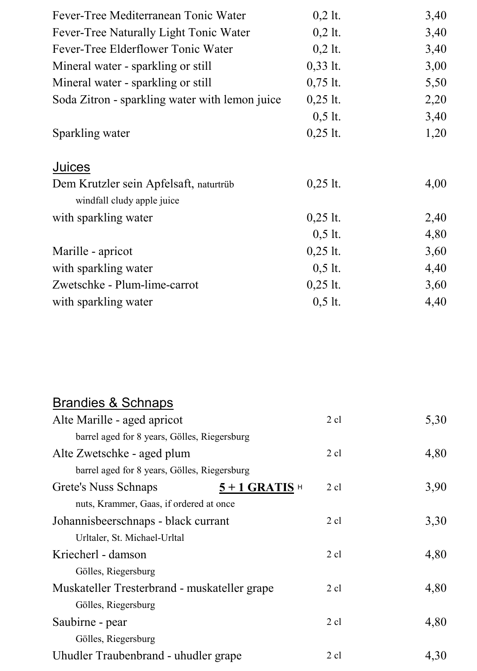| Fever-Tree Mediterranean Tonic Water                                 | $0,2$ lt.  | 3,40 |
|----------------------------------------------------------------------|------------|------|
| Fever-Tree Naturally Light Tonic Water                               | $0,2$ lt.  | 3,40 |
| Fever-Tree Elderflower Tonic Water                                   | $0,2$ lt.  | 3,40 |
| Mineral water - sparkling or still                                   | $0,33$ lt. | 3,00 |
| Mineral water - sparkling or still                                   | $0,75$ lt. | 5,50 |
| Soda Zitron - sparkling water with lemon juice                       | $0,25$ lt. | 2,20 |
|                                                                      | $0,5$ lt.  | 3,40 |
| Sparkling water                                                      | $0,25$ lt. | 1,20 |
| Juices                                                               |            |      |
| Dem Krutzler sein Apfelsaft, naturtrüb<br>windfall cludy apple juice | $0,25$ lt. | 4,00 |
| with sparkling water                                                 | $0,25$ lt. | 2,40 |
|                                                                      | $0,5$ lt.  | 4,80 |
| Marille - apricot                                                    | $0,25$ lt. | 3,60 |
| with sparkling water                                                 | $0,5$ lt.  | 4,40 |
| Zwetschke - Plum-lime-carrot                                         | $0,25$ lt. | 3,60 |
| with sparkling water                                                 | $0,5$ lt.  | 4,40 |

#### Brandies & Schnaps

| Alte Marille - aged apricot                  | $2$ cl                              | 5,30 |
|----------------------------------------------|-------------------------------------|------|
| barrel aged for 8 years, Gölles, Riegersburg |                                     |      |
| Alte Zwetschke - aged plum                   | $2$ cl                              | 4,80 |
| barrel aged for 8 years, Gölles, Riegersburg |                                     |      |
| Grete's Nuss Schnaps                         | $2$ cl<br>$5+1$ GRATIS <sup>H</sup> | 3,90 |
| nuts, Krammer, Gaas, if ordered at once      |                                     |      |
| Johannisbeerschnaps - black currant          | $2$ cl                              | 3,30 |
| Urltaler, St. Michael-Urltal                 |                                     |      |
| Kriecherl - damson                           | $2 \text{ cl}$                      | 4,80 |
| Gölles, Riegersburg                          |                                     |      |
| Muskateller Tresterbrand - muskateller grape | $2 \text{ cl}$                      | 4,80 |
| Gölles, Riegersburg                          |                                     |      |
| Saubirne - pear                              | $2$ cl                              | 4,80 |
| Gölles, Riegersburg                          |                                     |      |
| Uhudler Traubenbrand - uhudler grape         | $2$ cl                              | 4.30 |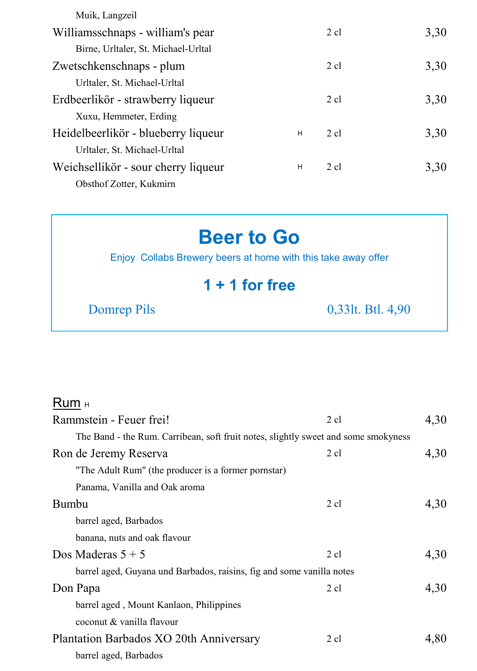| Muik, Langzeil                      |   |                |      |
|-------------------------------------|---|----------------|------|
| Williamsschnaps - william's pear    |   | $2 \text{ cl}$ | 3,30 |
| Birne, Urltaler, St. Michael-Urltal |   |                |      |
| Zwetschkenschnaps - plum            |   | $2$ cl         | 3,30 |
| Urltaler, St. Michael-Urltal        |   |                |      |
| Erdbeerlikör - strawberry liqueur   |   | $2 \text{ cl}$ | 3,30 |
| Xuxu, Hemmeter, Erding              |   |                |      |
| Heidelbeerlikör - blueberry liqueur | H | $2$ cl         | 3,30 |
| Urltaler, St. Michael-Urltal        |   |                |      |
| Weichsellikör - sour cherry liqueur | н | $2$ cl         | 3.30 |
| Obsthof Zotter, Kukmirn             |   |                |      |

# **Beer to Go**

Enjoy Collabs Brewery beers at home with this take away offer

## **1 + 1 for free**

Domrep Pils 0,33lt. Btl. 4,90

#### Rum H

| Rammstein - Feuer frei!                                                            | $2$ cl         | 4,30 |
|------------------------------------------------------------------------------------|----------------|------|
| The Band - the Rum. Carribean, soft fruit notes, slightly sweet and some smokyness |                |      |
| Ron de Jeremy Reserva                                                              | $2 \text{ cl}$ | 4,30 |
| "The Adult Rum" (the producer is a former pornstar)                                |                |      |
| Panama, Vanilla and Oak aroma                                                      |                |      |
| Bumbu                                                                              | $2$ cl         | 4,30 |
| barrel aged, Barbados                                                              |                |      |
| banana, nuts and oak flavour                                                       |                |      |
| Dos Maderas $5 + 5$                                                                | $2$ cl         | 4,30 |
| barrel aged, Guyana und Barbados, raisins, fig and some vanilla notes              |                |      |
| Don Papa                                                                           | $2$ cl         | 4,30 |
| barrel aged, Mount Kanlaon, Philippines                                            |                |      |
| coconut & vanilla flavour                                                          |                |      |
| Plantation Barbados XO 20th Anniversary                                            | $2 \text{ cl}$ | 4,80 |
| barrel aged, Barbados                                                              |                |      |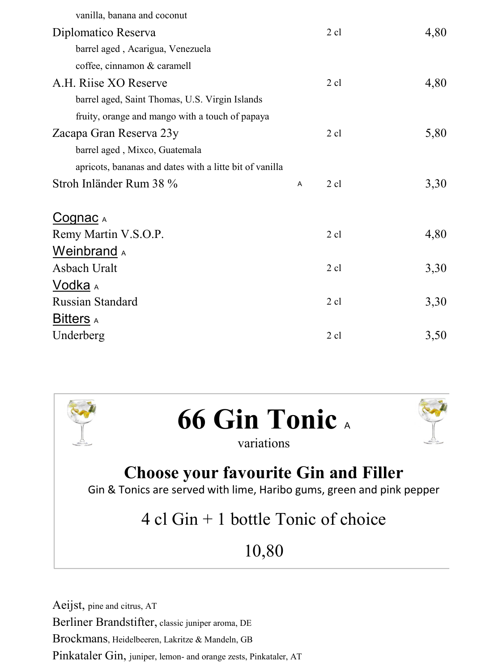| vanilla, banana and coconut                             |   |                |      |
|---------------------------------------------------------|---|----------------|------|
| Diplomatico Reserva                                     |   | $2$ cl         | 4,80 |
| barrel aged, Acarigua, Venezuela                        |   |                |      |
| coffee, cinnamon & caramell                             |   |                |      |
| A.H. Riise XO Reserve                                   |   | $2$ cl         | 4,80 |
| barrel aged, Saint Thomas, U.S. Virgin Islands          |   |                |      |
| fruity, orange and mango with a touch of papaya         |   |                |      |
| Zacapa Gran Reserva 23y                                 |   | $2$ cl         | 5,80 |
| barrel aged, Mixco, Guatemala                           |   |                |      |
| apricots, bananas and dates with a litte bit of vanilla |   |                |      |
| Stroh Inländer Rum 38 %                                 | A | 2 cl           | 3,30 |
|                                                         |   |                |      |
| <u>Cognac д</u>                                         |   |                |      |
| Remy Martin V.S.O.P.                                    |   | $2$ cl         | 4,80 |
| <b>Weinbrand</b> A                                      |   |                |      |
| Asbach Uralt                                            |   | $2$ cl         | 3,30 |
| Vodka <sub>A</sub>                                      |   |                |      |
| Russian Standard                                        |   | $2 \text{ cl}$ | 3,30 |
| Bitters A                                               |   |                |      |
| Underberg                                               |   | $2$ cl         | 3,50 |
|                                                         |   |                |      |



# 4 cl Gin + 1 bottle Tonic of choice

# 10,80

Aeijst, pine and citrus, AT Berliner Brandstifter, classic juniper aroma, DE Brockmans, Heidelbeeren, Lakritze & Mandeln, GB Pinkataler Gin, juniper, lemon- and orange zests, Pinkataler, AT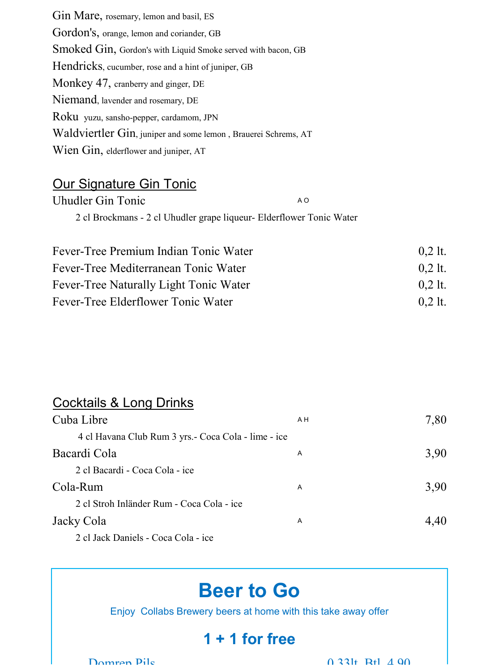Gin Mare, rosemary, lemon and basil, ES Gordon's, orange, lemon and coriander, GB Smoked Gin, Gordon's with Liquid Smoke served with bacon, GB Hendricks, cucumber, rose and a hint of juniper, GB Monkey 47, cranberry and ginger, DE Niemand, lavender and rosemary, DE Roku yuzu, sansho-pepper, cardamom, JPN Waldviertler Gin, juniper and some lemon , Brauerei Schrems, AT Wien Gin, elderflower and juniper, AT

#### Our Signature Gin Tonic

| Uhudler Gin Tonic                                                    | A O |
|----------------------------------------------------------------------|-----|
| 2 cl Brockmans - 2 cl Uhudler grape liqueur- Elderflower Tonic Water |     |
|                                                                      |     |

| Fever-Tree Premium Indian Tonic Water  | $0.2$ lt. |
|----------------------------------------|-----------|
| Fever-Tree Mediterranean Tonic Water   | $0.2$ lt. |
| Fever-Tree Naturally Light Tonic Water | $0.2$ lt. |
| Fever-Tree Elderflower Tonic Water     | $0.2$ lt. |

#### Cocktails & Long Drinks

| Cuba Libre                                           | A <sub>H</sub> | 7,80 |
|------------------------------------------------------|----------------|------|
| 4 cl Havana Club Rum 3 yrs. - Coca Cola - lime - ice |                |      |
| Bacardi Cola                                         | A              | 3,90 |
| 2 cl Bacardi - Coca Cola - ice                       |                |      |
| Cola-Rum                                             | A              | 3.90 |
| 2 cl Stroh Inländer Rum - Coca Cola - ice            |                |      |
| Jacky Cola                                           | A              | 4.40 |
| 2 cl Jack Daniels - Coca Cola - ice                  |                |      |

# **Beer to Go**

Enjoy Collabs Brewery beers at home with this take away offer

# **1 + 1 for free**

Domran Pils  $0.331f$  Btl  $4.90f$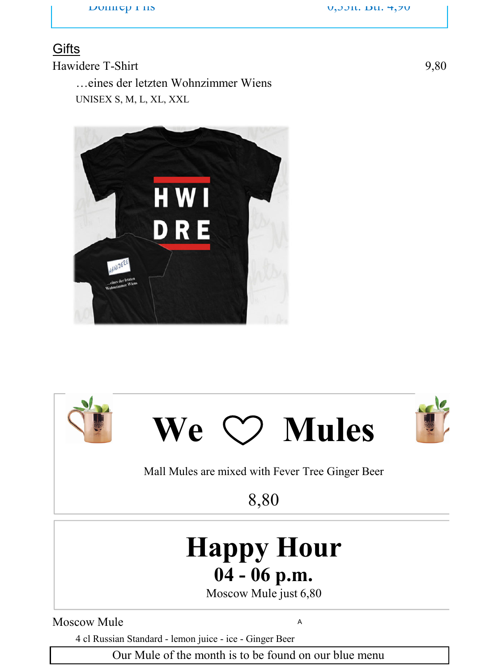$\mathsf{D}_0$  Point C<sub>1</sub> is  $\mathsf{D}_1$  is  $\mathsf{D}_1$  and  $\mathsf{D}_2$  is  $\mathsf{D}_3$  is  $\mathsf{D}_4$  and  $\mathsf{D}_5$  and  $\mathsf{D}_7$  and  $\mathsf{D}_7$  and  $\mathsf{D}_8$  and  $\mathsf{D}_7$  and  $\mathsf{D}_8$  and  $\mathsf{D}_7$  and  $\mathsf{D}_8$  and  $\mathsf{D}_7$  and  $\mathsf$ 

#### **Gifts**

Hawidere T-Shirt 9,80 …eines der letzten Wohnzimmer Wiens UNISEX S, M, L, XL, XXL









Mall Mules are mixed with Fever Tree Ginger Beer

8,80

# **Happy Hour 04 - 06 p.m.**

Moscow Mule just 6,80

Moscow Mule <sup>A</sup>

4 cl Russian Standard - lemon juice - ice - Ginger Beer

Our Mule of the month is to be found on our blue menu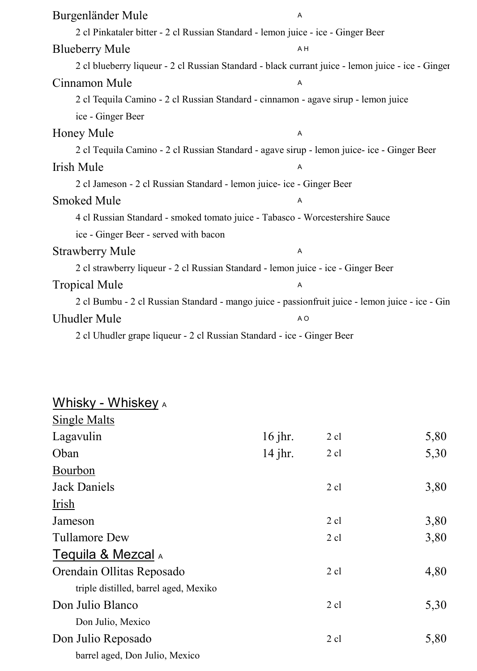| Burgenländer Mule                                                                                 | A              |
|---------------------------------------------------------------------------------------------------|----------------|
| 2 cl Pinkataler bitter - 2 cl Russian Standard - lemon juice - ice - Ginger Beer                  |                |
| <b>Blueberry Mule</b>                                                                             | A H            |
| 2 cl blueberry liqueur - 2 cl Russian Standard - black currant juice - lemon juice - ice - Ginger |                |
| Cinnamon Mule                                                                                     | A              |
| 2 cl Tequila Camino - 2 cl Russian Standard - cinnamon - agave sirup - lemon juice                |                |
| ice - Ginger Beer                                                                                 |                |
| Honey Mule                                                                                        | A              |
| 2 cl Tequila Camino - 2 cl Russian Standard - agave sirup - lemon juice- ice - Ginger Beer        |                |
| Irish Mule                                                                                        | Α              |
| 2 cl Jameson - 2 cl Russian Standard - lemon juice- ice - Ginger Beer                             |                |
| Smoked Mule                                                                                       | A              |
| 4 cl Russian Standard - smoked tomato juice - Tabasco - Worcestershire Sauce                      |                |
| ice - Ginger Beer - served with bacon                                                             |                |
| <b>Strawberry Mule</b>                                                                            | A              |
| 2 cl strawberry liqueur - 2 cl Russian Standard - lemon juice - ice - Ginger Beer                 |                |
| <b>Tropical Mule</b>                                                                              | A              |
| 2 cl Bumbu - 2 cl Russian Standard - mango juice - passionfruit juice - lemon juice - ice - Gin   |                |
| <b>Uhudler Mule</b>                                                                               | A <sub>O</sub> |
| 2 cl Uhudler grape liqueur - 2 cl Russian Standard - ice - Ginger Beer                            |                |

#### **Whisky - Whiske<u>y</u> a**

| Single Malts                          |           |                |      |
|---------------------------------------|-----------|----------------|------|
| Lagavulin                             | $16$ jhr. | $2$ cl         | 5,80 |
| Oban                                  | $14$ jhr. | $2$ cl         | 5,30 |
| Bourbon                               |           |                |      |
| Jack Daniels                          |           | $2$ cl         | 3,80 |
| <b>Irish</b>                          |           |                |      |
| Jameson                               |           | $2 \text{ cl}$ | 3,80 |
| Tullamore Dew                         |           | $2 \text{ cl}$ | 3,80 |
| Tequila & Mezcal A                    |           |                |      |
| Orendain Ollitas Reposado             |           | $2 \text{ cl}$ | 4,80 |
| triple distilled, barrel aged, Mexiko |           |                |      |
| Don Julio Blanco                      |           | $2 \text{ cl}$ | 5,30 |
| Don Julio, Mexico                     |           |                |      |
| Don Julio Reposado                    |           | $2$ cl         | 5,80 |
| barrel aged, Don Julio, Mexico        |           |                |      |
|                                       |           |                |      |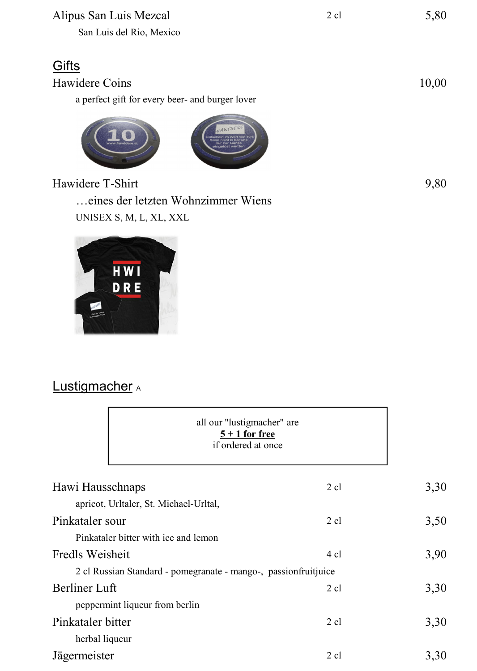#### Alipus San Luis Mezcal 2 cl 5,80

San Luis del Rio, Mexico

### **Gifts**

Hawidere Coins 10,00 a perfect gift for every beer- and burger lover



Hawidere T-Shirt 9,80

…eines der letzten Wohnzimmer Wiens UNISEX S, M, L, XL, XXL



#### Lustigmacher A

| all our "lustigmacher" are<br>$5 + 1$ for free<br>if ordered at once |                |      |
|----------------------------------------------------------------------|----------------|------|
| Hawi Hausschnaps                                                     | 2 cl           | 3,30 |
| apricot, Urltaler, St. Michael-Urltal,                               |                |      |
| Pinkataler sour                                                      | $2$ cl         | 3,50 |
| Pinkataler bitter with ice and lemon                                 |                |      |
| Fredls Weisheit                                                      | 4 cl           | 3,90 |
| 2 cl Russian Standard - pomegranate - mango-, passion fruit juice    |                |      |
| Berliner Luft                                                        | 2 cl           | 3,30 |
| peppermint liqueur from berlin                                       |                |      |
| Pinkataler bitter                                                    | $2$ cl         | 3,30 |
| herbal liqueur                                                       |                |      |
| Jägermeister                                                         | $2 \text{ cl}$ | 3,30 |